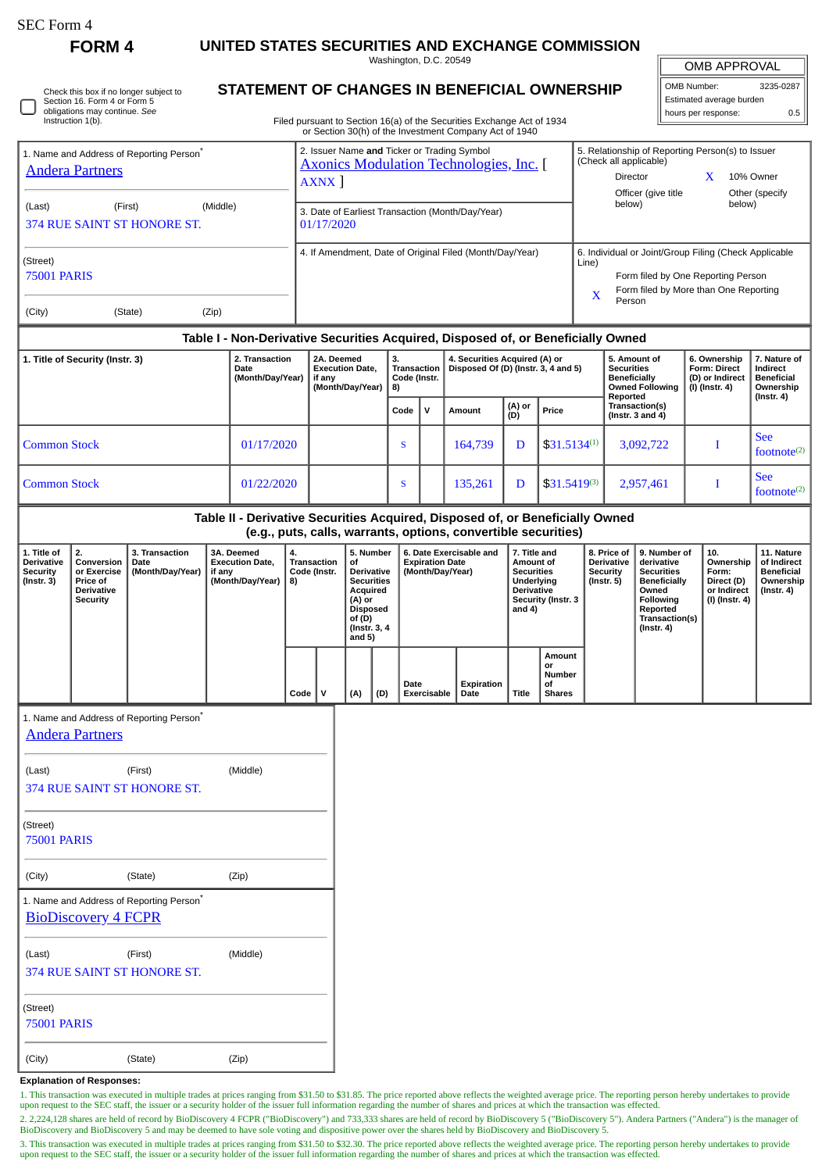| SEC Form 4 |  |
|------------|--|
|------------|--|

∩

**FORM 4 UNITED STATES SECURITIES AND EXCHANGE COMMISSION**

Washington, D.C. 20549

## **STATEMENT OF CHANGES IN BENEFICIAL OWNERSHIP**

Filed pursuant to Section 16(a) of the Securities Exchange Act of 1934

| OMB APPROVAL             |           |  |  |  |  |
|--------------------------|-----------|--|--|--|--|
| OMB Number:              | 3235-0287 |  |  |  |  |
| Estimated average burden |           |  |  |  |  |
| hours per response:      | ሰ 5       |  |  |  |  |

|                                                                                                                                                    |                                 |                                                      |       |                                                                                                                           |                                                               |                                                      |                                            |                                                  |                                                                                            |                                 | or Section 30(h) of the Investment Company Act of 1940                           |                                                |                                                                                 |                     |                                  |                                         |                                     |                                |                           |
|----------------------------------------------------------------------------------------------------------------------------------------------------|---------------------------------|------------------------------------------------------|-------|---------------------------------------------------------------------------------------------------------------------------|---------------------------------------------------------------|------------------------------------------------------|--------------------------------------------|--------------------------------------------------|--------------------------------------------------------------------------------------------|---------------------------------|----------------------------------------------------------------------------------|------------------------------------------------|---------------------------------------------------------------------------------|---------------------|----------------------------------|-----------------------------------------|-------------------------------------|--------------------------------|---------------------------|
| 1. Name and Address of Reporting Person <sup>®</sup>                                                                                               |                                 |                                                      |       | 2. Issuer Name and Ticker or Trading Symbol<br>5. Relationship of Reporting Person(s) to Issuer<br>(Check all applicable) |                                                               |                                                      |                                            |                                                  |                                                                                            |                                 |                                                                                  |                                                |                                                                                 |                     |                                  |                                         |                                     |                                |                           |
| <b>Andera Partners</b>                                                                                                                             |                                 |                                                      |       |                                                                                                                           | <b>Axonics Modulation Technologies, Inc.</b> [<br><b>AXNX</b> |                                                      |                                            |                                                  |                                                                                            |                                 |                                                                                  |                                                |                                                                                 | Director            |                                  |                                         | $\mathbf{X}$                        | 10% Owner                      |                           |
|                                                                                                                                                    |                                 |                                                      |       |                                                                                                                           |                                                               |                                                      |                                            |                                                  |                                                                                            |                                 |                                                                                  |                                                | below)                                                                          | Officer (give title |                                  | below)                                  | Other (specify                      |                                |                           |
| (Middle)<br>(Last)<br>(First)<br>374 RUE SAINT ST HONORE ST.<br>01/17/2020                                                                         |                                 |                                                      |       |                                                                                                                           |                                                               |                                                      |                                            | 3. Date of Earliest Transaction (Month/Day/Year) |                                                                                            |                                 |                                                                                  |                                                |                                                                                 |                     |                                  |                                         |                                     |                                |                           |
|                                                                                                                                                    |                                 |                                                      |       |                                                                                                                           |                                                               |                                                      |                                            |                                                  |                                                                                            |                                 |                                                                                  |                                                |                                                                                 |                     |                                  |                                         |                                     |                                |                           |
| (Street)                                                                                                                                           |                                 |                                                      |       |                                                                                                                           | 4. If Amendment, Date of Original Filed (Month/Day/Year)      |                                                      |                                            |                                                  |                                                                                            |                                 |                                                                                  |                                                | 6. Individual or Joint/Group Filing (Check Applicable<br>Line)                  |                     |                                  |                                         |                                     |                                |                           |
| 75001 PARIS                                                                                                                                        |                                 |                                                      |       |                                                                                                                           |                                                               |                                                      |                                            |                                                  |                                                                                            |                                 |                                                                                  | Form filed by One Reporting Person             |                                                                                 |                     |                                  |                                         |                                     |                                |                           |
|                                                                                                                                                    |                                 |                                                      |       |                                                                                                                           | Form filed by More than One Reporting<br>X<br>Person          |                                                      |                                            |                                                  |                                                                                            |                                 |                                                                                  |                                                |                                                                                 |                     |                                  |                                         |                                     |                                |                           |
| (City)                                                                                                                                             |                                 | (State)                                              | (Zip) |                                                                                                                           |                                                               |                                                      |                                            |                                                  |                                                                                            |                                 |                                                                                  |                                                |                                                                                 |                     |                                  |                                         |                                     |                                |                           |
|                                                                                                                                                    |                                 |                                                      |       |                                                                                                                           |                                                               |                                                      |                                            |                                                  |                                                                                            |                                 | Table I - Non-Derivative Securities Acquired, Disposed of, or Beneficially Owned |                                                |                                                                                 |                     |                                  |                                         |                                     |                                |                           |
|                                                                                                                                                    | 1. Title of Security (Instr. 3) |                                                      |       | 2. Transaction<br>Date                                                                                                    |                                                               |                                                      | 3.<br>2A. Deemed<br><b>Execution Date,</b> |                                                  | 4. Securities Acquired (A) or<br><b>Transaction</b><br>Disposed Of (D) (Instr. 3, 4 and 5) |                                 |                                                                                  |                                                | 5. Amount of<br><b>Securities</b>                                               |                     |                                  |                                         | 6. Ownership<br><b>Form: Direct</b> | 7. Nature of<br>Indirect       |                           |
|                                                                                                                                                    |                                 |                                                      |       | (Month/Day/Year)                                                                                                          |                                                               | if any<br>(Month/Day/Year)                           |                                            | Code (Instr.<br>8)                               |                                                                                            |                                 |                                                                                  |                                                | <b>Beneficially</b>                                                             |                     | <b>Owned Following</b>           |                                         | (D) or Indirect<br>(I) (Instr. 4)   | <b>Beneficial</b><br>Ownership |                           |
|                                                                                                                                                    |                                 |                                                      |       |                                                                                                                           |                                                               |                                                      |                                            |                                                  | Code<br>$\mathbf v$                                                                        |                                 | Amount                                                                           | (A) or<br>Price                                |                                                                                 |                     | Reported                         | Transaction(s)<br>(Instr. $3$ and $4$ ) |                                     |                                | $($ Instr. 4 $)$          |
|                                                                                                                                                    |                                 |                                                      |       |                                                                                                                           |                                                               |                                                      |                                            |                                                  |                                                                                            |                                 |                                                                                  | (D)                                            |                                                                                 |                     |                                  |                                         |                                     |                                | <b>See</b>                |
| <b>Common Stock</b>                                                                                                                                |                                 |                                                      |       | 01/17/2020                                                                                                                |                                                               |                                                      |                                            |                                                  | S                                                                                          |                                 | 164,739                                                                          | D                                              | $$31.5134^{(1)}$                                                                |                     | 3,092,722                        |                                         | I                                   |                                | footnote <sup>(2)</sup>   |
|                                                                                                                                                    |                                 |                                                      |       |                                                                                                                           |                                                               |                                                      |                                            |                                                  |                                                                                            |                                 |                                                                                  |                                                |                                                                                 |                     |                                  |                                         |                                     |                                | <b>See</b>                |
| <b>Common Stock</b>                                                                                                                                |                                 |                                                      |       | 01/22/2020                                                                                                                |                                                               |                                                      |                                            |                                                  | S                                                                                          |                                 | 135,261                                                                          | D                                              |                                                                                 | $$31.5419^{(3)}$    |                                  | 2,957,461                               | I                                   |                                | footnote <sup>(2)</sup>   |
|                                                                                                                                                    |                                 |                                                      |       |                                                                                                                           |                                                               |                                                      |                                            |                                                  |                                                                                            |                                 | Table II - Derivative Securities Acquired, Disposed of, or Beneficially Owned    |                                                |                                                                                 |                     |                                  |                                         |                                     |                                |                           |
|                                                                                                                                                    |                                 |                                                      |       |                                                                                                                           |                                                               |                                                      |                                            |                                                  |                                                                                            |                                 | (e.g., puts, calls, warrants, options, convertible securities)                   |                                                |                                                                                 |                     |                                  |                                         |                                     |                                |                           |
| 1. Title of<br><b>Derivative</b>                                                                                                                   | 2.<br>Conversion                | 3. Transaction<br>Date                               |       | 3A. Deemed<br><b>Execution Date,</b>                                                                                      | 4.                                                            | Transaction                                          | of                                         | 5. Number                                        |                                                                                            | <b>Expiration Date</b>          | 6. Date Exercisable and                                                          | 7. Title and<br>Amount of                      |                                                                                 |                     | 8. Price of<br><b>Derivative</b> | 9. Number of<br>derivative              |                                     | 10.<br>Ownership               | 11. Nature<br>of Indirect |
| (Month/Day/Year)<br><b>Security</b><br>or Exercise<br>if any<br>(Month/Day/Year)<br>(Instr. 3)<br>Price of<br><b>Derivative</b><br><b>Security</b> |                                 |                                                      | 8)    | Code (Instr.                                                                                                              | <b>Derivative</b><br><b>Securities</b><br>Acquired<br>(A) or  |                                                      | (Month/Day/Year)                           |                                                  |                                                                                            | <b>Securities</b><br>Underlying |                                                                                  |                                                | <b>Security</b><br><b>Securities</b><br>$($ Instr. 5 $)$<br><b>Beneficially</b> |                     | Form:<br>Direct (D)              |                                         | <b>Beneficial</b><br>Ownership      |                                |                           |
|                                                                                                                                                    |                                 |                                                      |       |                                                                                                                           |                                                               |                                                      |                                            |                                                  |                                                                                            | Derivative                      | Security (Instr. 3                                                               |                                                |                                                                                 | Owned<br>Following  |                                  | or Indirect<br>(I) (Instr. 4)           | $($ Instr. 4 $)$                    |                                |                           |
|                                                                                                                                                    |                                 |                                                      |       |                                                                                                                           |                                                               | <b>Disposed</b><br>and 4)<br>of (D)<br>(Instr. 3, 4) |                                            |                                                  |                                                                                            |                                 |                                                                                  | Reported<br>Transaction(s)<br>$($ Instr. 4 $)$ |                                                                                 |                     |                                  |                                         |                                     |                                |                           |
|                                                                                                                                                    |                                 |                                                      |       |                                                                                                                           |                                                               |                                                      | and $5)$                                   |                                                  |                                                                                            |                                 |                                                                                  |                                                |                                                                                 |                     |                                  |                                         |                                     |                                |                           |
|                                                                                                                                                    |                                 |                                                      |       |                                                                                                                           |                                                               |                                                      |                                            |                                                  |                                                                                            |                                 |                                                                                  |                                                | Amount<br>or                                                                    |                     |                                  |                                         |                                     |                                |                           |
|                                                                                                                                                    |                                 |                                                      |       |                                                                                                                           |                                                               |                                                      |                                            |                                                  | Date                                                                                       |                                 | Expiration                                                                       |                                                | <b>Number</b><br>οf                                                             |                     |                                  |                                         |                                     |                                |                           |
|                                                                                                                                                    |                                 |                                                      |       |                                                                                                                           | Code                                                          | ${\sf v}$                                            | (A)                                        | (D)                                              |                                                                                            | Exercisable                     | Date                                                                             | <b>Title</b>                                   | <b>Shares</b>                                                                   |                     |                                  |                                         |                                     |                                |                           |
|                                                                                                                                                    | <b>Andera Partners</b>          | 1. Name and Address of Reporting Person <sup>7</sup> |       |                                                                                                                           |                                                               |                                                      |                                            |                                                  |                                                                                            |                                 |                                                                                  |                                                |                                                                                 |                     |                                  |                                         |                                     |                                |                           |
|                                                                                                                                                    |                                 |                                                      |       |                                                                                                                           |                                                               |                                                      |                                            |                                                  |                                                                                            |                                 |                                                                                  |                                                |                                                                                 |                     |                                  |                                         |                                     |                                |                           |
| (Last)                                                                                                                                             |                                 | (First)                                              |       | (Middle)                                                                                                                  |                                                               |                                                      |                                            |                                                  |                                                                                            |                                 |                                                                                  |                                                |                                                                                 |                     |                                  |                                         |                                     |                                |                           |
|                                                                                                                                                    |                                 | 374 RUE SAINT ST HONORE ST.                          |       |                                                                                                                           |                                                               |                                                      |                                            |                                                  |                                                                                            |                                 |                                                                                  |                                                |                                                                                 |                     |                                  |                                         |                                     |                                |                           |
|                                                                                                                                                    |                                 |                                                      |       |                                                                                                                           |                                                               |                                                      |                                            |                                                  |                                                                                            |                                 |                                                                                  |                                                |                                                                                 |                     |                                  |                                         |                                     |                                |                           |
| (Street)<br><b>75001 PARIS</b>                                                                                                                     |                                 |                                                      |       |                                                                                                                           |                                                               |                                                      |                                            |                                                  |                                                                                            |                                 |                                                                                  |                                                |                                                                                 |                     |                                  |                                         |                                     |                                |                           |
|                                                                                                                                                    |                                 |                                                      |       |                                                                                                                           |                                                               |                                                      |                                            |                                                  |                                                                                            |                                 |                                                                                  |                                                |                                                                                 |                     |                                  |                                         |                                     |                                |                           |
| (City)                                                                                                                                             |                                 | (State)                                              |       | (Zip)                                                                                                                     |                                                               |                                                      |                                            |                                                  |                                                                                            |                                 |                                                                                  |                                                |                                                                                 |                     |                                  |                                         |                                     |                                |                           |
|                                                                                                                                                    |                                 | 1. Name and Address of Reporting Person <sup>®</sup> |       |                                                                                                                           |                                                               |                                                      |                                            |                                                  |                                                                                            |                                 |                                                                                  |                                                |                                                                                 |                     |                                  |                                         |                                     |                                |                           |
|                                                                                                                                                    | <b>BioDiscovery 4 FCPR</b>      |                                                      |       |                                                                                                                           |                                                               |                                                      |                                            |                                                  |                                                                                            |                                 |                                                                                  |                                                |                                                                                 |                     |                                  |                                         |                                     |                                |                           |
| (Last)                                                                                                                                             |                                 | (First)                                              |       | (Middle)                                                                                                                  |                                                               |                                                      |                                            |                                                  |                                                                                            |                                 |                                                                                  |                                                |                                                                                 |                     |                                  |                                         |                                     |                                |                           |
|                                                                                                                                                    |                                 | 374 RUE SAINT ST HONORE ST.                          |       |                                                                                                                           |                                                               |                                                      |                                            |                                                  |                                                                                            |                                 |                                                                                  |                                                |                                                                                 |                     |                                  |                                         |                                     |                                |                           |
|                                                                                                                                                    |                                 |                                                      |       |                                                                                                                           |                                                               |                                                      |                                            |                                                  |                                                                                            |                                 |                                                                                  |                                                |                                                                                 |                     |                                  |                                         |                                     |                                |                           |
| (Street)                                                                                                                                           |                                 |                                                      |       |                                                                                                                           |                                                               |                                                      |                                            |                                                  |                                                                                            |                                 |                                                                                  |                                                |                                                                                 |                     |                                  |                                         |                                     |                                |                           |
| <b>75001 PARIS</b>                                                                                                                                 |                                 |                                                      |       |                                                                                                                           |                                                               |                                                      |                                            |                                                  |                                                                                            |                                 |                                                                                  |                                                |                                                                                 |                     |                                  |                                         |                                     |                                |                           |
|                                                                                                                                                    |                                 |                                                      |       |                                                                                                                           |                                                               |                                                      |                                            |                                                  |                                                                                            |                                 |                                                                                  |                                                |                                                                                 |                     |                                  |                                         |                                     |                                |                           |

## **Explanation of Responses:**

(City) (State) (Zip)

1. This transaction was executed in multiple trades at prices ranging from \$31.50 to \$31.85. The price reported above reflects the weighted average price. The reporting person hereby undertakes to provide upon request to the SEC staff, the issuer or a security holder of the issuer full information regarding the number of shares and prices at which the transaction was effected.

2. 2,224,128 shares are held of record by BioDiscovery 4 FCPR ("BioDiscovery") and 733,333 shares are held of record by BioDiscovery 5 ("BioDiscovery 5"). Andera Partners ("Andera") is the manager of<br>BioDiscovery and BioDi

3. This transaction was executed in multiple trades at prices ranging from \$31.50 to \$32.30. The price reported above reflects the weighted average price. The reporting person hereby undertakes to provide upon request to the SEC staff, the issuer or a security holder of the issuer full information regarding the number of shares and prices at which the transaction was effected.